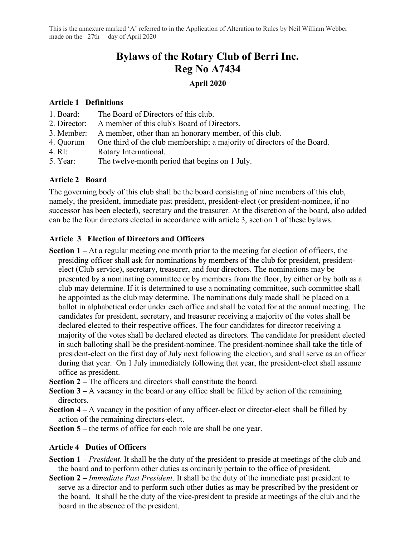This is the annexure marked 'A' referred to in the Application of Alteration to Rules by Neil William Webber made on the 27th day of April 2020

# **Bylaws of the Rotary Club of Berri Inc. Reg No A7434**

### **April 2020**

#### **Article 1 Definitions**

- 1. Board: The Board of Directors of this club.
- 2. Director: A member of this club's Board of Directors.
- 3. Member: A member, other than an honorary member, of this club.
- 4. Quorum One third of the club membership; a majority of directors of the Board.
- 4. RI: Rotary International.
- 5. Year: The twelve-month period that begins on 1 July.

### **Article 2 Board**

The governing body of this club shall be the board consisting of nine members of this club, namely, the president, immediate past president, president-elect (or president-nominee, if no successor has been elected), secretary and the treasurer. At the discretion of the board, also added can be the four directors elected in accordance with article 3, section 1 of these bylaws.

### **Article 3 Election of Directors and Officers**

- **Section 1 –** At a regular meeting one month prior to the meeting for election of officers, the presiding officer shall ask for nominations by members of the club for president, presidentelect (Club service), secretary, treasurer, and four directors. The nominations may be presented by a nominating committee or by members from the floor, by either or by both as a club may determine. If it is determined to use a nominating committee, such committee shall be appointed as the club may determine. The nominations duly made shall be placed on a ballot in alphabetical order under each office and shall be voted for at the annual meeting. The candidates for president, secretary, and treasurer receiving a majority of the votes shall be declared elected to their respective offices. The four candidates for director receiving a majority of the votes shall be declared elected as directors. The candidate for president elected in such balloting shall be the president-nominee. The president-nominee shall take the title of president-elect on the first day of July next following the election, and shall serve as an officer during that year. On 1 July immediately following that year, the president-elect shall assume office as president.
- **Section 2 –** The officers and directors shall constitute the board.
- **Section 3 –** A vacancy in the board or any office shall be filled by action of the remaining directors.
- **Section 4** A vacancy in the position of any officer-elect or director-elect shall be filled by action of the remaining directors-elect.
- **Section 5 –** the terms of office for each role are shall be one year.

### **Article 4 Duties of Officers**

- **Section 1 –** *President*. It shall be the duty of the president to preside at meetings of the club and the board and to perform other duties as ordinarily pertain to the office of president.
- **Section 2 –** *Immediate Past President*. It shall be the duty of the immediate past president to serve as a director and to perform such other duties as may be prescribed by the president or the board. It shall be the duty of the vice-president to preside at meetings of the club and the board in the absence of the president.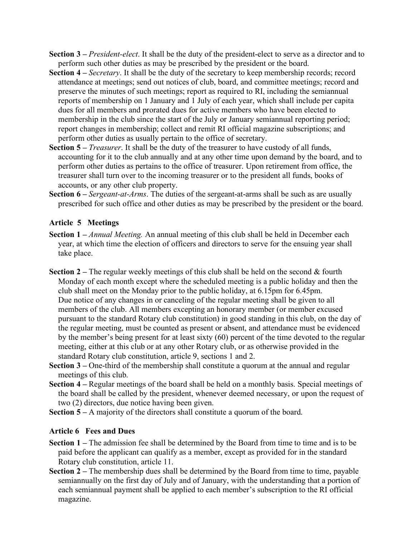- **Section 3 –** *President-elect*. It shall be the duty of the president-elect to serve as a director and to perform such other duties as may be prescribed by the president or the board.
- **Section 4 –** *Secretary*. It shall be the duty of the secretary to keep membership records; record attendance at meetings; send out notices of club, board, and committee meetings; record and preserve the minutes of such meetings; report as required to RI, including the semiannual reports of membership on 1 January and 1 July of each year, which shall include per capita dues for all members and prorated dues for active members who have been elected to membership in the club since the start of the July or January semiannual reporting period; report changes in membership; collect and remit RI official magazine subscriptions; and perform other duties as usually pertain to the office of secretary.
- **Section 5 –** *Treasurer*. It shall be the duty of the treasurer to have custody of all funds, accounting for it to the club annually and at any other time upon demand by the board, and to perform other duties as pertains to the office of treasurer. Upon retirement from office, the treasurer shall turn over to the incoming treasurer or to the president all funds, books of accounts, or any other club property.
- **Section 6 –** *Sergeant-at-Arms*. The duties of the sergeant-at-arms shall be such as are usually prescribed for such office and other duties as may be prescribed by the president or the board.

### **Article 5 Meetings**

- **Section 1 –** *Annual Meeting.* An annual meeting of this club shall be held in December each year, at which time the election of officers and directors to serve for the ensuing year shall take place.
- **Section 2 –** The regular weekly meetings of this club shall be held on the second & fourth Monday of each month except where the scheduled meeting is a public holiday and then the club shall meet on the Monday prior to the public holiday, at 6.15pm for 6.45pm. Due notice of any changes in or canceling of the regular meeting shall be given to all members of the club. All members excepting an honorary member (or member excused pursuant to the standard Rotary club constitution) in good standing in this club, on the day of the regular meeting, must be counted as present or absent, and attendance must be evidenced by the member's being present for at least sixty (60) percent of the time devoted to the regular meeting, either at this club or at any other Rotary club, or as otherwise provided in the standard Rotary club constitution, article 9, sections 1 and 2.
- **Section 3 –** One-third of the membership shall constitute a quorum at the annual and regular meetings of this club.
- **Section 4 –** Regular meetings of the board shall be held on a monthly basis. Special meetings of the board shall be called by the president, whenever deemed necessary, or upon the request of two (2) directors, due notice having been given.
- **Section 5 –** A majority of the directors shall constitute a quorum of the board.

### **Article 6 Fees and Dues**

- **Section 1 –** The admission fee shall be determined by the Board from time to time and is to be paid before the applicant can qualify as a member, except as provided for in the standard Rotary club constitution, article 11.
- **Section 2 –** The membership dues shall be determined by the Board from time to time, payable semiannually on the first day of July and of January, with the understanding that a portion of each semiannual payment shall be applied to each member's subscription to the RI official magazine.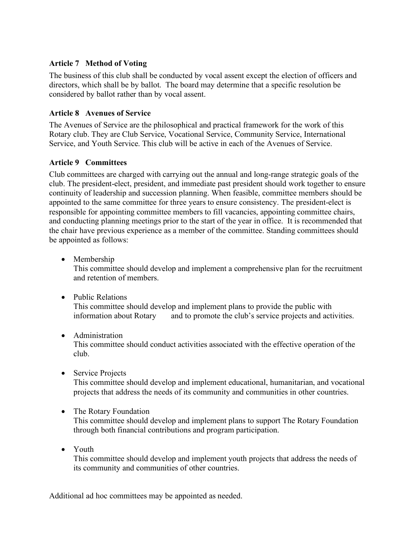# **Article 7 Method of Voting**

The business of this club shall be conducted by vocal assent except the election of officers and directors, which shall be by ballot. The board may determine that a specific resolution be considered by ballot rather than by vocal assent.

# **Article 8 Avenues of Service**

The Avenues of Service are the philosophical and practical framework for the work of this Rotary club. They are Club Service, Vocational Service, Community Service, International Service, and Youth Service. This club will be active in each of the Avenues of Service.

# **Article 9 Committees**

Club committees are charged with carrying out the annual and long-range strategic goals of the club. The president-elect, president, and immediate past president should work together to ensure continuity of leadership and succession planning. When feasible, committee members should be appointed to the same committee for three years to ensure consistency. The president-elect is responsible for appointing committee members to fill vacancies, appointing committee chairs, and conducting planning meetings prior to the start of the year in office. It is recommended that the chair have previous experience as a member of the committee. Standing committees should be appointed as follows:

• Membership

This committee should develop and implement a comprehensive plan for the recruitment and retention of members.

• Public Relations

This committee should develop and implement plans to provide the public with information about Rotary and to promote the club's service projects and activities.

# • Administration

This committee should conduct activities associated with the effective operation of the club.

• Service Projects

This committee should develop and implement educational, humanitarian, and vocational projects that address the needs of its community and communities in other countries.

• The Rotary Foundation

This committee should develop and implement plans to support The Rotary Foundation through both financial contributions and program participation.

• Youth This committee should develop and implement youth projects that address the needs of its community and communities of other countries.

Additional ad hoc committees may be appointed as needed.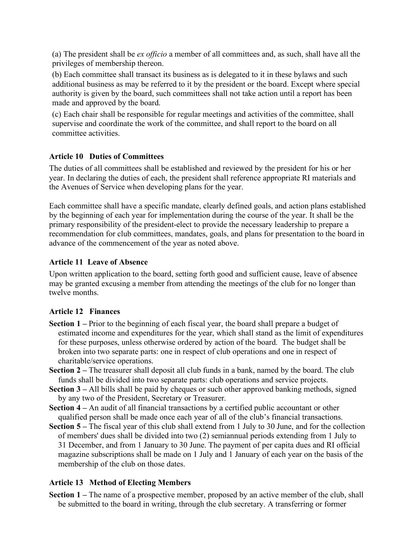(a) The president shall be *ex officio* a member of all committees and, as such, shall have all the privileges of membership thereon.

(b) Each committee shall transact its business as is delegated to it in these bylaws and such additional business as may be referred to it by the president or the board. Except where special authority is given by the board, such committees shall not take action until a report has been made and approved by the board.

(c) Each chair shall be responsible for regular meetings and activities of the committee, shall supervise and coordinate the work of the committee, and shall report to the board on all committee activities.

# **Article 10 Duties of Committees**

The duties of all committees shall be established and reviewed by the president for his or her year. In declaring the duties of each, the president shall reference appropriate RI materials and the Avenues of Service when developing plans for the year.

Each committee shall have a specific mandate, clearly defined goals, and action plans established by the beginning of each year for implementation during the course of the year. It shall be the primary responsibility of the president-elect to provide the necessary leadership to prepare a recommendation for club committees, mandates, goals, and plans for presentation to the board in advance of the commencement of the year as noted above.

# **Article 11 Leave of Absence**

Upon written application to the board, setting forth good and sufficient cause, leave of absence may be granted excusing a member from attending the meetings of the club for no longer than twelve months.

# **Article 12 Finances**

- **Section 1 –** Prior to the beginning of each fiscal year, the board shall prepare a budget of estimated income and expenditures for the year, which shall stand as the limit of expenditures for these purposes, unless otherwise ordered by action of the board. The budget shall be broken into two separate parts: one in respect of club operations and one in respect of charitable/service operations.
- **Section 2 –** The treasurer shall deposit all club funds in a bank, named by the board. The club funds shall be divided into two separate parts: club operations and service projects.
- **Section 3 –** All bills shall be paid by cheques or such other approved banking methods, signed by any two of the President, Secretary or Treasurer.
- **Section 4 –** An audit of all financial transactions by a certified public accountant or other qualified person shall be made once each year of all of the club's financial transactions.
- **Section 5 –** The fiscal year of this club shall extend from 1 July to 30 June, and for the collection of members' dues shall be divided into two (2) semiannual periods extending from 1 July to 31 December, and from 1 January to 30 June. The payment of per capita dues and RI official magazine subscriptions shall be made on 1 July and 1 January of each year on the basis of the membership of the club on those dates.

# **Article 13 Method of Electing Members**

**Section 1** – The name of a prospective member, proposed by an active member of the club, shall be submitted to the board in writing, through the club secretary. A transferring or former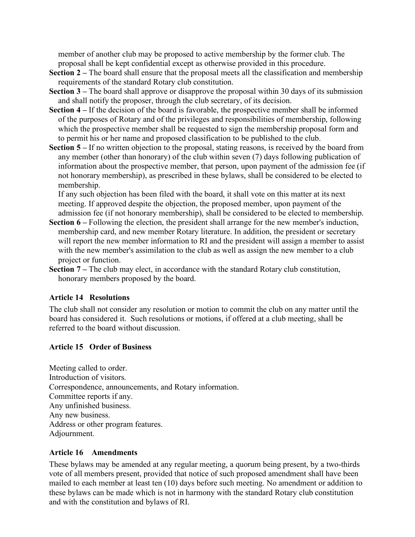member of another club may be proposed to active membership by the former club. The proposal shall be kept confidential except as otherwise provided in this procedure.

- **Section 2 –** The board shall ensure that the proposal meets all the classification and membership requirements of the standard Rotary club constitution.
- **Section 3 –** The board shall approve or disapprove the proposal within 30 days of its submission and shall notify the proposer, through the club secretary, of its decision.
- **Section 4 –** If the decision of the board is favorable, the prospective member shall be informed of the purposes of Rotary and of the privileges and responsibilities of membership, following which the prospective member shall be requested to sign the membership proposal form and to permit his or her name and proposed classification to be published to the club.
- **Section 5 –** If no written objection to the proposal, stating reasons, is received by the board from any member (other than honorary) of the club within seven (7) days following publication of information about the prospective member, that person, upon payment of the admission fee (if not honorary membership), as prescribed in these bylaws, shall be considered to be elected to membership.

If any such objection has been filed with the board, it shall vote on this matter at its next meeting. If approved despite the objection, the proposed member, upon payment of the admission fee (if not honorary membership), shall be considered to be elected to membership.

- **Section 6 –** Following the election, the president shall arrange for the new member's induction, membership card, and new member Rotary literature. In addition, the president or secretary will report the new member information to RI and the president will assign a member to assist with the new member's assimilation to the club as well as assign the new member to a club project or function.
- **Section 7** The club may elect, in accordance with the standard Rotary club constitution, honorary members proposed by the board.

## **Article 14 Resolutions**

The club shall not consider any resolution or motion to commit the club on any matter until the board has considered it. Such resolutions or motions, if offered at a club meeting, shall be referred to the board without discussion.

## **Article 15 Order of Business**

Meeting called to order. Introduction of visitors. Correspondence, announcements, and Rotary information. Committee reports if any. Any unfinished business. Any new business. Address or other program features. Adjournment.

## **Article 16 Amendments**

These bylaws may be amended at any regular meeting, a quorum being present, by a two-thirds vote of all members present, provided that notice of such proposed amendment shall have been mailed to each member at least ten (10) days before such meeting. No amendment or addition to these bylaws can be made which is not in harmony with the standard Rotary club constitution and with the constitution and bylaws of RI.